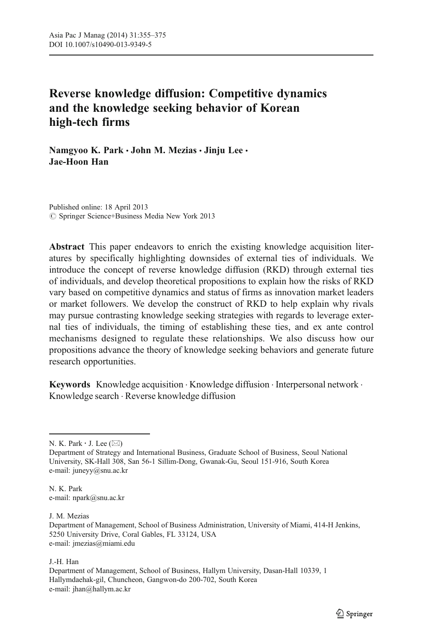# Reverse knowledge diffusion: Competitive dynamics and the knowledge seeking behavior of Korean high-tech firms

Namgyoo K. Park · John M. Mezias · Jinju Lee · Jae-Hoon Han

Published online: 18 April 2013 © Springer Science+Business Media New York 2013

Abstract This paper endeavors to enrich the existing knowledge acquisition literatures by specifically highlighting downsides of external ties of individuals. We introduce the concept of reverse knowledge diffusion (RKD) through external ties of individuals, and develop theoretical propositions to explain how the risks of RKD vary based on competitive dynamics and status of firms as innovation market leaders or market followers. We develop the construct of RKD to help explain why rivals may pursue contrasting knowledge seeking strategies with regards to leverage external ties of individuals, the timing of establishing these ties, and ex ante control mechanisms designed to regulate these relationships. We also discuss how our propositions advance the theory of knowledge seeking behaviors and generate future research opportunities.

Keywords Knowledge acquisition . Knowledge diffusion . Interpersonal network . Knowledge search . Reverse knowledge diffusion

J. M. Mezias

J.-H. Han

N. K. Park  $\cdot$  J. Lee ( $\boxtimes$ )

Department of Strategy and International Business, Graduate School of Business, Seoul National University, SK-Hall 308, San 56-1 Sillim-Dong, Gwanak-Gu, Seoul 151-916, South Korea e-mail: juneyy@snu.ac.kr

N. K. Park e-mail: npark@snu.ac.kr

Department of Management, School of Business Administration, University of Miami, 414-H Jenkins, 5250 University Drive, Coral Gables, FL 33124, USA e-mail: jmezias@miami.edu

Department of Management, School of Business, Hallym University, Dasan-Hall 10339, 1 Hallymdaehak-gil, Chuncheon, Gangwon-do 200-702, South Korea e-mail: jhan@hallym.ac.kr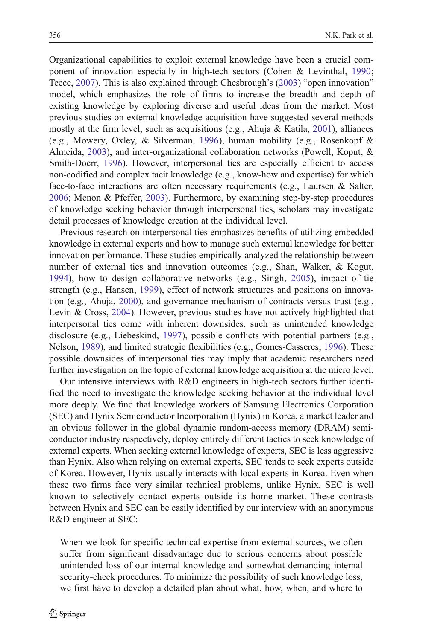Organizational capabilities to exploit external knowledge have been a crucial component of innovation especially in high-tech sectors (Cohen & Levinthal, [1990;](#page-17-0) Teece, [2007\)](#page-19-0). This is also explained through Chesbrough's ([2003\)](#page-16-0) "open innovation" model, which emphasizes the role of firms to increase the breadth and depth of existing knowledge by exploring diverse and useful ideas from the market. Most previous studies on external knowledge acquisition have suggested several methods mostly at the firm level, such as acquisitions (e.g., Ahuja  $\&$  Katila, [2001](#page-16-0)), alliances (e.g., Mowery, Oxley, & Silverman, [1996](#page-18-0)), human mobility (e.g., Rosenkopf & Almeida, [2003\)](#page-19-0), and inter-organizational collaboration networks (Powell, Koput, & Smith-Doerr, [1996](#page-19-0)). However, interpersonal ties are especially efficient to access non-codified and complex tacit knowledge (e.g., know-how and expertise) for which face-to-face interactions are often necessary requirements (e.g., Laursen & Salter, [2006;](#page-18-0) Menon & Pfeffer, [2003](#page-18-0)). Furthermore, by examining step-by-step procedures of knowledge seeking behavior through interpersonal ties, scholars may investigate detail processes of knowledge creation at the individual level.

Previous research on interpersonal ties emphasizes benefits of utilizing embedded knowledge in external experts and how to manage such external knowledge for better innovation performance. These studies empirically analyzed the relationship between number of external ties and innovation outcomes (e.g., Shan, Walker, & Kogut, [1994](#page-19-0)), how to design collaborative networks (e.g., Singh, [2005\)](#page-19-0), impact of tie strength (e.g., Hansen, [1999\)](#page-17-0), effect of network structures and positions on innovation (e.g., Ahuja, [2000](#page-16-0)), and governance mechanism of contracts versus trust (e.g., Levin & Cross, [2004\)](#page-18-0). However, previous studies have not actively highlighted that interpersonal ties come with inherent downsides, such as unintended knowledge disclosure (e.g., Liebeskind, [1997](#page-18-0)), possible conflicts with potential partners (e.g., Nelson, [1989](#page-18-0)), and limited strategic flexibilities (e.g., Gomes-Casseres, [1996](#page-17-0)). These possible downsides of interpersonal ties may imply that academic researchers need further investigation on the topic of external knowledge acquisition at the micro level.

Our intensive interviews with R&D engineers in high-tech sectors further identified the need to investigate the knowledge seeking behavior at the individual level more deeply. We find that knowledge workers of Samsung Electronics Corporation (SEC) and Hynix Semiconductor Incorporation (Hynix) in Korea, a market leader and an obvious follower in the global dynamic random-access memory (DRAM) semiconductor industry respectively, deploy entirely different tactics to seek knowledge of external experts. When seeking external knowledge of experts, SEC is less aggressive than Hynix. Also when relying on external experts, SEC tends to seek experts outside of Korea. However, Hynix usually interacts with local experts in Korea. Even when these two firms face very similar technical problems, unlike Hynix, SEC is well known to selectively contact experts outside its home market. These contrasts between Hynix and SEC can be easily identified by our interview with an anonymous R&D engineer at SEC:

When we look for specific technical expertise from external sources, we often suffer from significant disadvantage due to serious concerns about possible unintended loss of our internal knowledge and somewhat demanding internal security-check procedures. To minimize the possibility of such knowledge loss, we first have to develop a detailed plan about what, how, when, and where to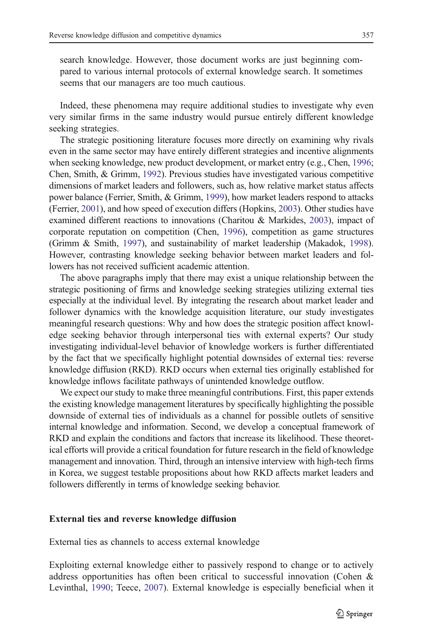search knowledge. However, those document works are just beginning compared to various internal protocols of external knowledge search. It sometimes seems that our managers are too much cautious.

Indeed, these phenomena may require additional studies to investigate why even very similar firms in the same industry would pursue entirely different knowledge seeking strategies.

The strategic positioning literature focuses more directly on examining why rivals even in the same sector may have entirely different strategies and incentive alignments when seeking knowledge, new product development, or market entry (e.g., Chen, [1996;](#page-16-0) Chen, Smith, & Grimm, [1992\)](#page-16-0). Previous studies have investigated various competitive dimensions of market leaders and followers, such as, how relative market status affects power balance (Ferrier, Smith, & Grimm, [1999](#page-17-0)), how market leaders respond to attacks (Ferrier, [2001\)](#page-17-0), and how speed of execution differs (Hopkins, [2003\)](#page-17-0). Other studies have examined different reactions to innovations (Charitou & Markides, [2003](#page-16-0)), impact of corporate reputation on competition (Chen, [1996\)](#page-16-0), competition as game structures (Grimm & Smith, [1997](#page-17-0)), and sustainability of market leadership (Makadok, [1998\)](#page-18-0). However, contrasting knowledge seeking behavior between market leaders and followers has not received sufficient academic attention.

The above paragraphs imply that there may exist a unique relationship between the strategic positioning of firms and knowledge seeking strategies utilizing external ties especially at the individual level. By integrating the research about market leader and follower dynamics with the knowledge acquisition literature, our study investigates meaningful research questions: Why and how does the strategic position affect knowledge seeking behavior through interpersonal ties with external experts? Our study investigating individual-level behavior of knowledge workers is further differentiated by the fact that we specifically highlight potential downsides of external ties: reverse knowledge diffusion (RKD). RKD occurs when external ties originally established for knowledge inflows facilitate pathways of unintended knowledge outflow.

We expect our study to make three meaningful contributions. First, this paper extends the existing knowledge management literatures by specifically highlighting the possible downside of external ties of individuals as a channel for possible outlets of sensitive internal knowledge and information. Second, we develop a conceptual framework of RKD and explain the conditions and factors that increase its likelihood. These theoretical efforts will provide a critical foundation for future research in the field of knowledge management and innovation. Third, through an intensive interview with high-tech firms in Korea, we suggest testable propositions about how RKD affects market leaders and followers differently in terms of knowledge seeking behavior.

### External ties and reverse knowledge diffusion

External ties as channels to access external knowledge

Exploiting external knowledge either to passively respond to change or to actively address opportunities has often been critical to successful innovation (Cohen & Levinthal, [1990;](#page-17-0) Teece, [2007\)](#page-19-0). External knowledge is especially beneficial when it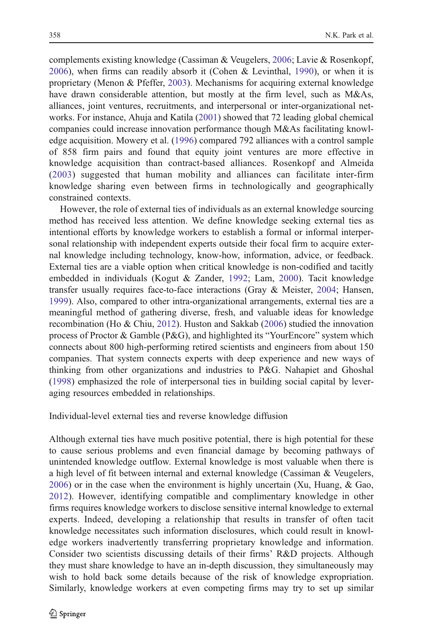complements existing knowledge (Cassiman & Veugelers, [2006](#page-16-0); Lavie & Rosenkopf, [2006\)](#page-18-0), when firms can readily absorb it (Cohen & Levinthal, [1990](#page-17-0)), or when it is proprietary (Menon & Pfeffer, [2003](#page-18-0)). Mechanisms for acquiring external knowledge have drawn considerable attention, but mostly at the firm level, such as M&As, alliances, joint ventures, recruitments, and interpersonal or inter-organizational networks. For instance, Ahuja and Katila [\(2001](#page-16-0)) showed that 72 leading global chemical companies could increase innovation performance though M&As facilitating knowledge acquisition. Mowery et al. [\(1996](#page-18-0)) compared 792 alliances with a control sample of 858 firm pairs and found that equity joint ventures are more effective in knowledge acquisition than contract-based alliances. Rosenkopf and Almeida [\(2003\)](#page-19-0) suggested that human mobility and alliances can facilitate inter-firm knowledge sharing even between firms in technologically and geographically constrained contexts.

However, the role of external ties of individuals as an external knowledge sourcing method has received less attention. We define knowledge seeking external ties as intentional efforts by knowledge workers to establish a formal or informal interpersonal relationship with independent experts outside their focal firm to acquire external knowledge including technology, know-how, information, advice, or feedback. External ties are a viable option when critical knowledge is non-codified and tacitly embedded in individuals (Kogut & Zander, [1992](#page-18-0); Lam, [2000](#page-18-0)). Tacit knowledge transfer usually requires face-to-face interactions (Gray & Meister, [2004](#page-17-0); Hansen, [1999\)](#page-17-0). Also, compared to other intra-organizational arrangements, external ties are a meaningful method of gathering diverse, fresh, and valuable ideas for knowledge recombination (Ho & Chiu, [2012](#page-17-0)). Huston and Sakkab [\(2006](#page-18-0)) studied the innovation process of Proctor & Gamble (P&G), and highlighted its "YourEncore" system which connects about 800 high-performing retired scientists and engineers from about 150 companies. That system connects experts with deep experience and new ways of thinking from other organizations and industries to P&G. Nahapiet and Ghoshal [\(1998](#page-18-0)) emphasized the role of interpersonal ties in building social capital by leveraging resources embedded in relationships.

Individual-level external ties and reverse knowledge diffusion

Although external ties have much positive potential, there is high potential for these to cause serious problems and even financial damage by becoming pathways of unintended knowledge outflow. External knowledge is most valuable when there is a high level of fit between internal and external knowledge (Cassiman & Veugelers, [2006\)](#page-16-0) or in the case when the environment is highly uncertain (Xu, Huang, & Gao, [2012](#page-19-0)). However, identifying compatible and complimentary knowledge in other firms requires knowledge workers to disclose sensitive internal knowledge to external experts. Indeed, developing a relationship that results in transfer of often tacit knowledge necessitates such information disclosures, which could result in knowledge workers inadvertently transferring proprietary knowledge and information. Consider two scientists discussing details of their firms' R&D projects. Although they must share knowledge to have an in-depth discussion, they simultaneously may wish to hold back some details because of the risk of knowledge expropriation. Similarly, knowledge workers at even competing firms may try to set up similar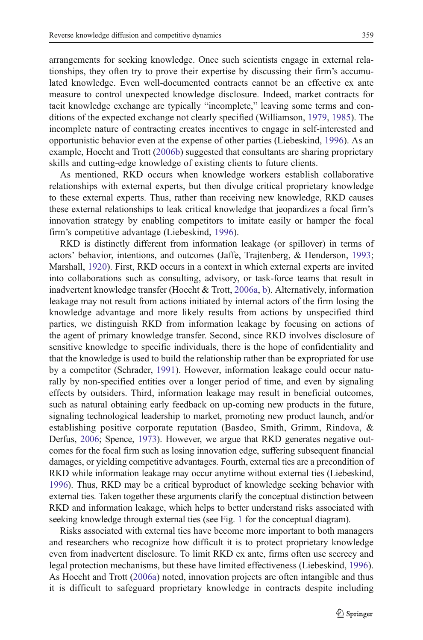arrangements for seeking knowledge. Once such scientists engage in external relationships, they often try to prove their expertise by discussing their firm's accumulated knowledge. Even well-documented contracts cannot be an effective ex ante measure to control unexpected knowledge disclosure. Indeed, market contracts for tacit knowledge exchange are typically "incomplete," leaving some terms and conditions of the expected exchange not clearly specified (Williamson, [1979,](#page-19-0) [1985\)](#page-19-0). The incomplete nature of contracting creates incentives to engage in self-interested and opportunistic behavior even at the expense of other parties (Liebeskind, [1996](#page-18-0)). As an example, Hoecht and Trott [\(2006b](#page-17-0)) suggested that consultants are sharing proprietary skills and cutting-edge knowledge of existing clients to future clients.

As mentioned, RKD occurs when knowledge workers establish collaborative relationships with external experts, but then divulge critical proprietary knowledge to these external experts. Thus, rather than receiving new knowledge, RKD causes these external relationships to leak critical knowledge that jeopardizes a focal firm's innovation strategy by enabling competitors to imitate easily or hamper the focal firm's competitive advantage (Liebeskind, [1996\)](#page-18-0).

RKD is distinctly different from information leakage (or spillover) in terms of actors' behavior, intentions, and outcomes (Jaffe, Trajtenberg, & Henderson, [1993;](#page-18-0) Marshall, [1920](#page-18-0)). First, RKD occurs in a context in which external experts are invited into collaborations such as consulting, advisory, or task-force teams that result in inadvertent knowledge transfer (Hoecht & Trott, [2006a,](#page-17-0) [b\)](#page-17-0). Alternatively, information leakage may not result from actions initiated by internal actors of the firm losing the knowledge advantage and more likely results from actions by unspecified third parties, we distinguish RKD from information leakage by focusing on actions of the agent of primary knowledge transfer. Second, since RKD involves disclosure of sensitive knowledge to specific individuals, there is the hope of confidentiality and that the knowledge is used to build the relationship rather than be expropriated for use by a competitor (Schrader, [1991](#page-19-0)). However, information leakage could occur naturally by non-specified entities over a longer period of time, and even by signaling effects by outsiders. Third, information leakage may result in beneficial outcomes, such as natural obtaining early feedback on up-coming new products in the future, signaling technological leadership to market, promoting new product launch, and/or establishing positive corporate reputation (Basdeo, Smith, Grimm, Rindova, & Derfus, [2006;](#page-16-0) Spence, [1973\)](#page-19-0). However, we argue that RKD generates negative outcomes for the focal firm such as losing innovation edge, suffering subsequent financial damages, or yielding competitive advantages. Fourth, external ties are a precondition of RKD while information leakage may occur anytime without external ties (Liebeskind, [1996\)](#page-18-0). Thus, RKD may be a critical byproduct of knowledge seeking behavior with external ties. Taken together these arguments clarify the conceptual distinction between RKD and information leakage, which helps to better understand risks associated with seeking knowledge through external ties (see Fig. [1](#page-5-0) for the conceptual diagram).

Risks associated with external ties have become more important to both managers and researchers who recognize how difficult it is to protect proprietary knowledge even from inadvertent disclosure. To limit RKD ex ante, firms often use secrecy and legal protection mechanisms, but these have limited effectiveness (Liebeskind, [1996\)](#page-18-0). As Hoecht and Trott [\(2006a\)](#page-17-0) noted, innovation projects are often intangible and thus it is difficult to safeguard proprietary knowledge in contracts despite including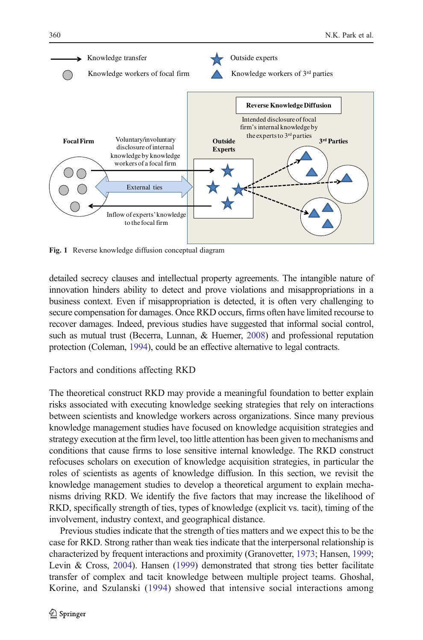<span id="page-5-0"></span>

Fig. 1 Reverse knowledge diffusion conceptual diagram

detailed secrecy clauses and intellectual property agreements. The intangible nature of innovation hinders ability to detect and prove violations and misappropriations in a business context. Even if misappropriation is detected, it is often very challenging to secure compensation for damages. Once RKD occurs, firms often have limited recourse to recover damages. Indeed, previous studies have suggested that informal social control, such as mutual trust (Becerra, Lunnan, & Huemer, [2008\)](#page-16-0) and professional reputation protection (Coleman, [1994\)](#page-17-0), could be an effective alternative to legal contracts.

# Factors and conditions affecting RKD

The theoretical construct RKD may provide a meaningful foundation to better explain risks associated with executing knowledge seeking strategies that rely on interactions between scientists and knowledge workers across organizations. Since many previous knowledge management studies have focused on knowledge acquisition strategies and strategy execution at the firm level, too little attention has been given to mechanisms and conditions that cause firms to lose sensitive internal knowledge. The RKD construct refocuses scholars on execution of knowledge acquisition strategies, in particular the roles of scientists as agents of knowledge diffusion. In this section, we revisit the knowledge management studies to develop a theoretical argument to explain mechanisms driving RKD. We identify the five factors that may increase the likelihood of RKD, specifically strength of ties, types of knowledge (explicit vs. tacit), timing of the involvement, industry context, and geographical distance.

Previous studies indicate that the strength of ties matters and we expect this to be the case for RKD. Strong rather than weak ties indicate that the interpersonal relationship is characterized by frequent interactions and proximity (Granovetter, [1973](#page-17-0); Hansen, [1999;](#page-17-0) Levin & Cross, [2004](#page-18-0)). Hansen ([1999\)](#page-17-0) demonstrated that strong ties better facilitate transfer of complex and tacit knowledge between multiple project teams. Ghoshal, Korine, and Szulanski ([1994](#page-17-0)) showed that intensive social interactions among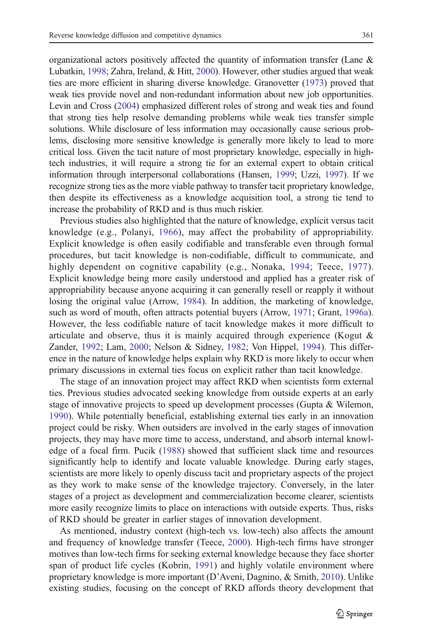organizational actors positively affected the quantity of information transfer (Lane & Lubatkin, [1998](#page-18-0); Zahra, Ireland, & Hitt, [2000](#page-19-0)). However, other studies argued that weak ties are more efficient in sharing diverse knowledge. Granovetter [\(1973\)](#page-17-0) proved that weak ties provide novel and non-redundant information about new job opportunities. Levin and Cross ([2004](#page-18-0)) emphasized different roles of strong and weak ties and found that strong ties help resolve demanding problems while weak ties transfer simple solutions. While disclosure of less information may occasionally cause serious problems, disclosing more sensitive knowledge is generally more likely to lead to more critical loss. Given the tacit nature of most proprietary knowledge, especially in hightech industries, it will require a strong tie for an external expert to obtain critical information through interpersonal collaborations (Hansen, [1999](#page-17-0); Uzzi, [1997\)](#page-19-0). If we recognize strong ties as the more viable pathway to transfer tacit proprietary knowledge, then despite its effectiveness as a knowledge acquisition tool, a strong tie tend to increase the probability of RKD and is thus much riskier.

Previous studies also highlighted that the nature of knowledge, explicit versus tacit knowledge (e.g., Polanyi, [1966](#page-19-0)), may affect the probability of appropriability. Explicit knowledge is often easily codifiable and transferable even through formal procedures, but tacit knowledge is non-codifiable, difficult to communicate, and highly dependent on cognitive capability (e.g., Nonaka, [1994](#page-19-0); Teece, [1977](#page-19-0)). Explicit knowledge being more easily understood and applied has a greater risk of appropriability because anyone acquiring it can generally resell or reapply it without losing the original value (Arrow, [1984\)](#page-16-0). In addition, the marketing of knowledge, such as word of mouth, often attracts potential buyers (Arrow, [1971;](#page-16-0) Grant, [1996a\)](#page-17-0). However, the less codifiable nature of tacit knowledge makes it more difficult to articulate and observe, thus it is mainly acquired through experience (Kogut  $\&$ Zander, [1992](#page-18-0); Lam, [2000](#page-18-0); Nelson & Sidney, [1982;](#page-19-0) Von Hippel, [1994\)](#page-19-0). This difference in the nature of knowledge helps explain why RKD is more likely to occur when primary discussions in external ties focus on explicit rather than tacit knowledge.

The stage of an innovation project may affect RKD when scientists form external ties. Previous studies advocated seeking knowledge from outside experts at an early stage of innovative projects to speed up development processes (Gupta & Wilemon, [1990\)](#page-17-0). While potentially beneficial, establishing external ties early in an innovation project could be risky. When outsiders are involved in the early stages of innovation projects, they may have more time to access, understand, and absorb internal knowledge of a focal firm. Pucik ([1988\)](#page-19-0) showed that sufficient slack time and resources significantly help to identify and locate valuable knowledge. During early stages, scientists are more likely to openly discuss tacit and proprietary aspects of the project as they work to make sense of the knowledge trajectory. Conversely, in the later stages of a project as development and commercialization become clearer, scientists more easily recognize limits to place on interactions with outside experts. Thus, risks of RKD should be greater in earlier stages of innovation development.

As mentioned, industry context (high-tech vs. low-tech) also affects the amount and frequency of knowledge transfer (Teece, [2000\)](#page-19-0). High-tech firms have stronger motives than low-tech firms for seeking external knowledge because they face shorter span of product life cycles (Kobrin, [1991](#page-18-0)) and highly volatile environment where proprietary knowledge is more important (D'Aveni, Dagnino, & Smith, [2010](#page-17-0)). Unlike existing studies, focusing on the concept of RKD affords theory development that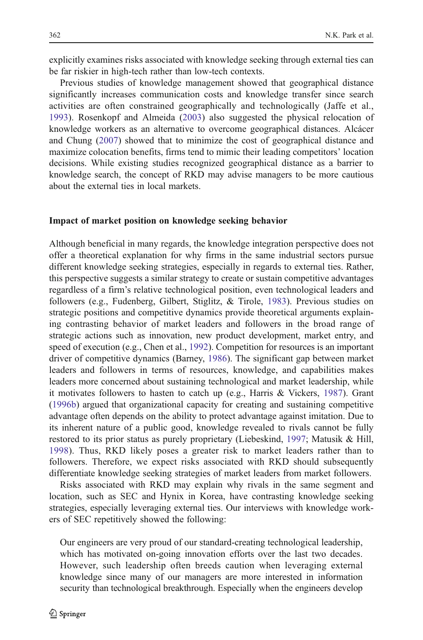explicitly examines risks associated with knowledge seeking through external ties can be far riskier in high-tech rather than low-tech contexts.

Previous studies of knowledge management showed that geographical distance significantly increases communication costs and knowledge transfer since search activities are often constrained geographically and technologically (Jaffe et al., [1993](#page-18-0)). Rosenkopf and Almeida ([2003\)](#page-19-0) also suggested the physical relocation of knowledge workers as an alternative to overcome geographical distances. Alcácer and Chung ([2007\)](#page-16-0) showed that to minimize the cost of geographical distance and maximize colocation benefits, firms tend to mimic their leading competitors' location decisions. While existing studies recognized geographical distance as a barrier to knowledge search, the concept of RKD may advise managers to be more cautious about the external ties in local markets.

#### Impact of market position on knowledge seeking behavior

Although beneficial in many regards, the knowledge integration perspective does not offer a theoretical explanation for why firms in the same industrial sectors pursue different knowledge seeking strategies, especially in regards to external ties. Rather, this perspective suggests a similar strategy to create or sustain competitive advantages regardless of a firm's relative technological position, even technological leaders and followers (e.g., Fudenberg, Gilbert, Stiglitz, & Tirole, [1983\)](#page-17-0). Previous studies on strategic positions and competitive dynamics provide theoretical arguments explaining contrasting behavior of market leaders and followers in the broad range of strategic actions such as innovation, new product development, market entry, and speed of execution (e.g., Chen et al., [1992](#page-16-0)). Competition for resources is an important driver of competitive dynamics (Barney, [1986\)](#page-16-0). The significant gap between market leaders and followers in terms of resources, knowledge, and capabilities makes leaders more concerned about sustaining technological and market leadership, while it motivates followers to hasten to catch up (e.g., Harris & Vickers, [1987](#page-17-0)). Grant [\(1996b](#page-17-0)) argued that organizational capacity for creating and sustaining competitive advantage often depends on the ability to protect advantage against imitation. Due to its inherent nature of a public good, knowledge revealed to rivals cannot be fully restored to its prior status as purely proprietary (Liebeskind, [1997;](#page-18-0) Matusik & Hill, [1998](#page-18-0)). Thus, RKD likely poses a greater risk to market leaders rather than to followers. Therefore, we expect risks associated with RKD should subsequently differentiate knowledge seeking strategies of market leaders from market followers.

Risks associated with RKD may explain why rivals in the same segment and location, such as SEC and Hynix in Korea, have contrasting knowledge seeking strategies, especially leveraging external ties. Our interviews with knowledge workers of SEC repetitively showed the following:

Our engineers are very proud of our standard-creating technological leadership, which has motivated on-going innovation efforts over the last two decades. However, such leadership often breeds caution when leveraging external knowledge since many of our managers are more interested in information security than technological breakthrough. Especially when the engineers develop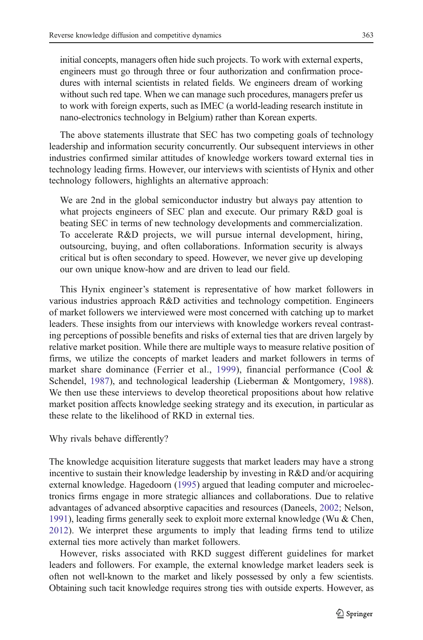initial concepts, managers often hide such projects. To work with external experts, engineers must go through three or four authorization and confirmation procedures with internal scientists in related fields. We engineers dream of working without such red tape. When we can manage such procedures, managers prefer us to work with foreign experts, such as IMEC (a world-leading research institute in nano-electronics technology in Belgium) rather than Korean experts.

The above statements illustrate that SEC has two competing goals of technology leadership and information security concurrently. Our subsequent interviews in other industries confirmed similar attitudes of knowledge workers toward external ties in technology leading firms. However, our interviews with scientists of Hynix and other technology followers, highlights an alternative approach:

We are 2nd in the global semiconductor industry but always pay attention to what projects engineers of SEC plan and execute. Our primary R&D goal is beating SEC in terms of new technology developments and commercialization. To accelerate R&D projects, we will pursue internal development, hiring, outsourcing, buying, and often collaborations. Information security is always critical but is often secondary to speed. However, we never give up developing our own unique know-how and are driven to lead our field.

This Hynix engineer's statement is representative of how market followers in various industries approach R&D activities and technology competition. Engineers of market followers we interviewed were most concerned with catching up to market leaders. These insights from our interviews with knowledge workers reveal contrasting perceptions of possible benefits and risks of external ties that are driven largely by relative market position. While there are multiple ways to measure relative position of firms, we utilize the concepts of market leaders and market followers in terms of market share dominance (Ferrier et al., [1999](#page-17-0)), financial performance (Cool & Schendel, [1987\)](#page-17-0), and technological leadership (Lieberman & Montgomery, [1988\)](#page-18-0). We then use these interviews to develop theoretical propositions about how relative market position affects knowledge seeking strategy and its execution, in particular as these relate to the likelihood of RKD in external ties.

Why rivals behave differently?

The knowledge acquisition literature suggests that market leaders may have a strong incentive to sustain their knowledge leadership by investing in R&D and/or acquiring external knowledge. Hagedoorn [\(1995](#page-17-0)) argued that leading computer and microelectronics firms engage in more strategic alliances and collaborations. Due to relative advantages of advanced absorptive capacities and resources (Daneels, [2002](#page-17-0); Nelson, [1991\)](#page-19-0), leading firms generally seek to exploit more external knowledge (Wu  $&$  Chen, [2012](#page-19-0)). We interpret these arguments to imply that leading firms tend to utilize external ties more actively than market followers.

However, risks associated with RKD suggest different guidelines for market leaders and followers. For example, the external knowledge market leaders seek is often not well-known to the market and likely possessed by only a few scientists. Obtaining such tacit knowledge requires strong ties with outside experts. However, as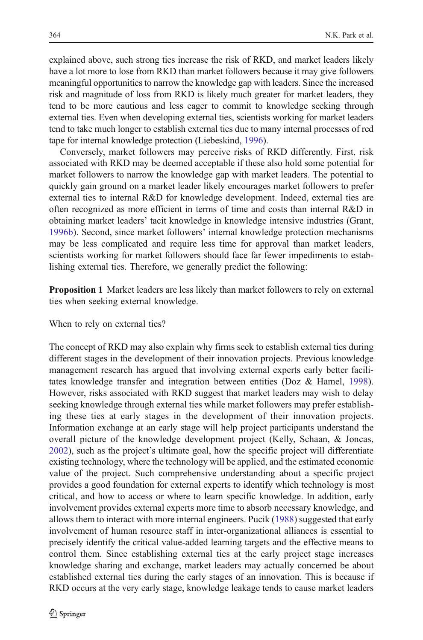explained above, such strong ties increase the risk of RKD, and market leaders likely have a lot more to lose from RKD than market followers because it may give followers meaningful opportunities to narrow the knowledge gap with leaders. Since the increased risk and magnitude of loss from RKD is likely much greater for market leaders, they tend to be more cautious and less eager to commit to knowledge seeking through external ties. Even when developing external ties, scientists working for market leaders tend to take much longer to establish external ties due to many internal processes of red tape for internal knowledge protection (Liebeskind, [1996](#page-18-0)).

Conversely, market followers may perceive risks of RKD differently. First, risk associated with RKD may be deemed acceptable if these also hold some potential for market followers to narrow the knowledge gap with market leaders. The potential to quickly gain ground on a market leader likely encourages market followers to prefer external ties to internal R&D for knowledge development. Indeed, external ties are often recognized as more efficient in terms of time and costs than internal R&D in obtaining market leaders' tacit knowledge in knowledge intensive industries (Grant, [1996b\)](#page-17-0). Second, since market followers' internal knowledge protection mechanisms may be less complicated and require less time for approval than market leaders, scientists working for market followers should face far fewer impediments to establishing external ties. Therefore, we generally predict the following:

Proposition 1 Market leaders are less likely than market followers to rely on external ties when seeking external knowledge.

When to rely on external ties?

The concept of RKD may also explain why firms seek to establish external ties during different stages in the development of their innovation projects. Previous knowledge management research has argued that involving external experts early better facilitates knowledge transfer and integration between entities (Doz & Hamel, [1998\)](#page-17-0). However, risks associated with RKD suggest that market leaders may wish to delay seeking knowledge through external ties while market followers may prefer establishing these ties at early stages in the development of their innovation projects. Information exchange at an early stage will help project participants understand the overall picture of the knowledge development project (Kelly, Schaan, & Joncas, [2002\)](#page-18-0), such as the project's ultimate goal, how the specific project will differentiate existing technology, where the technology will be applied, and the estimated economic value of the project. Such comprehensive understanding about a specific project provides a good foundation for external experts to identify which technology is most critical, and how to access or where to learn specific knowledge. In addition, early involvement provides external experts more time to absorb necessary knowledge, and allows them to interact with more internal engineers. Pucik ([1988\)](#page-19-0) suggested that early involvement of human resource staff in inter-organizational alliances is essential to precisely identify the critical value-added learning targets and the effective means to control them. Since establishing external ties at the early project stage increases knowledge sharing and exchange, market leaders may actually concerned be about established external ties during the early stages of an innovation. This is because if RKD occurs at the very early stage, knowledge leakage tends to cause market leaders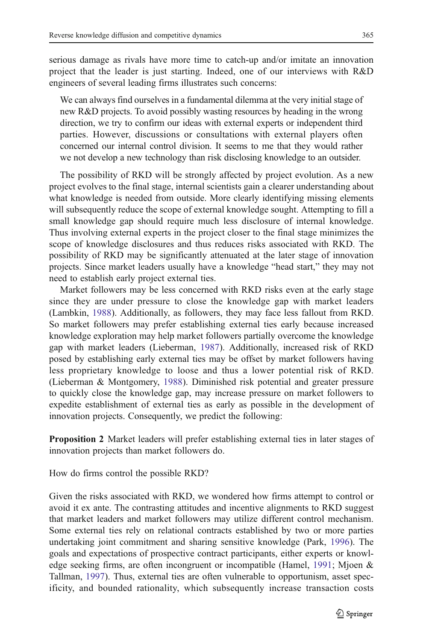serious damage as rivals have more time to catch-up and/or imitate an innovation project that the leader is just starting. Indeed, one of our interviews with R&D engineers of several leading firms illustrates such concerns:

We can always find ourselves in a fundamental dilemma at the very initial stage of new R&D projects. To avoid possibly wasting resources by heading in the wrong direction, we try to confirm our ideas with external experts or independent third parties. However, discussions or consultations with external players often concerned our internal control division. It seems to me that they would rather we not develop a new technology than risk disclosing knowledge to an outsider.

The possibility of RKD will be strongly affected by project evolution. As a new project evolves to the final stage, internal scientists gain a clearer understanding about what knowledge is needed from outside. More clearly identifying missing elements will subsequently reduce the scope of external knowledge sought. Attempting to fill a small knowledge gap should require much less disclosure of internal knowledge. Thus involving external experts in the project closer to the final stage minimizes the scope of knowledge disclosures and thus reduces risks associated with RKD. The possibility of RKD may be significantly attenuated at the later stage of innovation projects. Since market leaders usually have a knowledge "head start," they may not need to establish early project external ties.

Market followers may be less concerned with RKD risks even at the early stage since they are under pressure to close the knowledge gap with market leaders (Lambkin, [1988\)](#page-18-0). Additionally, as followers, they may face less fallout from RKD. So market followers may prefer establishing external ties early because increased knowledge exploration may help market followers partially overcome the knowledge gap with market leaders (Lieberman, [1987](#page-18-0)). Additionally, increased risk of RKD posed by establishing early external ties may be offset by market followers having less proprietary knowledge to loose and thus a lower potential risk of RKD. (Lieberman & Montgomery, [1988\)](#page-18-0). Diminished risk potential and greater pressure to quickly close the knowledge gap, may increase pressure on market followers to expedite establishment of external ties as early as possible in the development of innovation projects. Consequently, we predict the following:

Proposition 2 Market leaders will prefer establishing external ties in later stages of innovation projects than market followers do.

How do firms control the possible RKD?

Given the risks associated with RKD, we wondered how firms attempt to control or avoid it ex ante. The contrasting attitudes and incentive alignments to RKD suggest that market leaders and market followers may utilize different control mechanism. Some external ties rely on relational contracts established by two or more parties undertaking joint commitment and sharing sensitive knowledge (Park, [1996](#page-19-0)). The goals and expectations of prospective contract participants, either experts or knowledge seeking firms, are often incongruent or incompatible (Hamel, [1991](#page-17-0); Mjoen & Tallman, [1997\)](#page-18-0). Thus, external ties are often vulnerable to opportunism, asset specificity, and bounded rationality, which subsequently increase transaction costs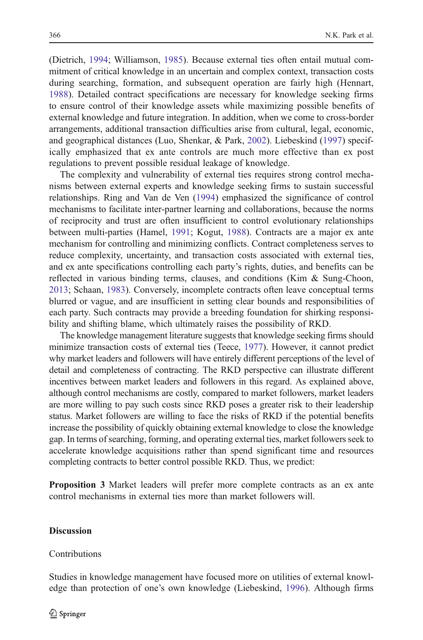(Dietrich, [1994](#page-17-0); Williamson, [1985](#page-19-0)). Because external ties often entail mutual commitment of critical knowledge in an uncertain and complex context, transaction costs during searching, formation, and subsequent operation are fairly high (Hennart, [1988\)](#page-17-0). Detailed contract specifications are necessary for knowledge seeking firms to ensure control of their knowledge assets while maximizing possible benefits of external knowledge and future integration. In addition, when we come to cross-border arrangements, additional transaction difficulties arise from cultural, legal, economic, and geographical distances (Luo, Shenkar, & Park, [2002](#page-18-0)). Liebeskind ([1997\)](#page-18-0) specifically emphasized that ex ante controls are much more effective than ex post regulations to prevent possible residual leakage of knowledge.

The complexity and vulnerability of external ties requires strong control mechanisms between external experts and knowledge seeking firms to sustain successful relationships. Ring and Van de Ven ([1994\)](#page-19-0) emphasized the significance of control mechanisms to facilitate inter-partner learning and collaborations, because the norms of reciprocity and trust are often insufficient to control evolutionary relationships between multi-parties (Hamel, [1991](#page-17-0); Kogut, [1988\)](#page-18-0). Contracts are a major ex ante mechanism for controlling and minimizing conflicts. Contract completeness serves to reduce complexity, uncertainty, and transaction costs associated with external ties, and ex ante specifications controlling each party's rights, duties, and benefits can be reflected in various binding terms, clauses, and conditions (Kim & Sung-Choon, [2013;](#page-18-0) Schaan, [1983](#page-19-0)). Conversely, incomplete contracts often leave conceptual terms blurred or vague, and are insufficient in setting clear bounds and responsibilities of each party. Such contracts may provide a breeding foundation for shirking responsibility and shifting blame, which ultimately raises the possibility of RKD.

The knowledge management literature suggests that knowledge seeking firms should minimize transaction costs of external ties (Teece, [1977](#page-19-0)). However, it cannot predict why market leaders and followers will have entirely different perceptions of the level of detail and completeness of contracting. The RKD perspective can illustrate different incentives between market leaders and followers in this regard. As explained above, although control mechanisms are costly, compared to market followers, market leaders are more willing to pay such costs since RKD poses a greater risk to their leadership status. Market followers are willing to face the risks of RKD if the potential benefits increase the possibility of quickly obtaining external knowledge to close the knowledge gap. In terms of searching, forming, and operating external ties, market followers seek to accelerate knowledge acquisitions rather than spend significant time and resources completing contracts to better control possible RKD. Thus, we predict:

Proposition 3 Market leaders will prefer more complete contracts as an ex ante control mechanisms in external ties more than market followers will.

## **Discussion**

### Contributions

Studies in knowledge management have focused more on utilities of external knowledge than protection of one's own knowledge (Liebeskind, [1996\)](#page-18-0). Although firms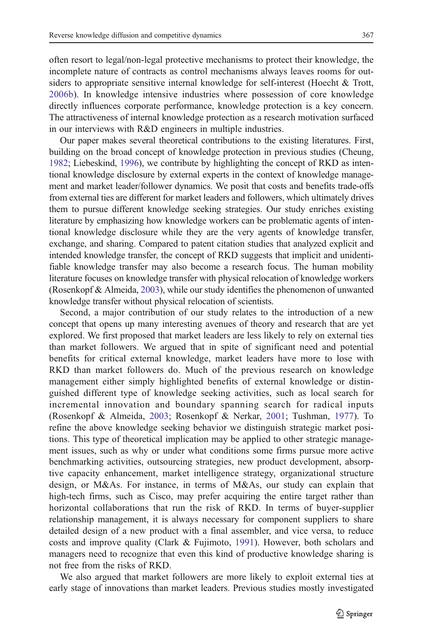often resort to legal/non-legal protective mechanisms to protect their knowledge, the incomplete nature of contracts as control mechanisms always leaves rooms for outsiders to appropriate sensitive internal knowledge for self-interest (Hoecht & Trott, [2006b](#page-17-0)). In knowledge intensive industries where possession of core knowledge directly influences corporate performance, knowledge protection is a key concern. The attractiveness of internal knowledge protection as a research motivation surfaced in our interviews with R&D engineers in multiple industries.

Our paper makes several theoretical contributions to the existing literatures. First, building on the broad concept of knowledge protection in previous studies (Cheung, [1982;](#page-16-0) Liebeskind, [1996](#page-18-0)), we contribute by highlighting the concept of RKD as intentional knowledge disclosure by external experts in the context of knowledge management and market leader/follower dynamics. We posit that costs and benefits trade-offs from external ties are different for market leaders and followers, which ultimately drives them to pursue different knowledge seeking strategies. Our study enriches existing literature by emphasizing how knowledge workers can be problematic agents of intentional knowledge disclosure while they are the very agents of knowledge transfer, exchange, and sharing. Compared to patent citation studies that analyzed explicit and intended knowledge transfer, the concept of RKD suggests that implicit and unidentifiable knowledge transfer may also become a research focus. The human mobility literature focuses on knowledge transfer with physical relocation of knowledge workers (Rosenkopf & Almeida, [2003\)](#page-19-0), while our study identifies the phenomenon of unwanted knowledge transfer without physical relocation of scientists.

Second, a major contribution of our study relates to the introduction of a new concept that opens up many interesting avenues of theory and research that are yet explored. We first proposed that market leaders are less likely to rely on external ties than market followers. We argued that in spite of significant need and potential benefits for critical external knowledge, market leaders have more to lose with RKD than market followers do. Much of the previous research on knowledge management either simply highlighted benefits of external knowledge or distinguished different type of knowledge seeking activities, such as local search for incremental innovation and boundary spanning search for radical inputs (Rosenkopf & Almeida, [2003](#page-19-0); Rosenkopf & Nerkar, [2001;](#page-19-0) Tushman, [1977\)](#page-19-0). To refine the above knowledge seeking behavior we distinguish strategic market positions. This type of theoretical implication may be applied to other strategic management issues, such as why or under what conditions some firms pursue more active benchmarking activities, outsourcing strategies, new product development, absorptive capacity enhancement, market intelligence strategy, organizational structure design, or M&As. For instance, in terms of M&As, our study can explain that high-tech firms, such as Cisco, may prefer acquiring the entire target rather than horizontal collaborations that run the risk of RKD. In terms of buyer-supplier relationship management, it is always necessary for component suppliers to share detailed design of a new product with a final assembler, and vice versa, to reduce costs and improve quality (Clark & Fujimoto, [1991](#page-17-0)). However, both scholars and managers need to recognize that even this kind of productive knowledge sharing is not free from the risks of RKD.

We also argued that market followers are more likely to exploit external ties at early stage of innovations than market leaders. Previous studies mostly investigated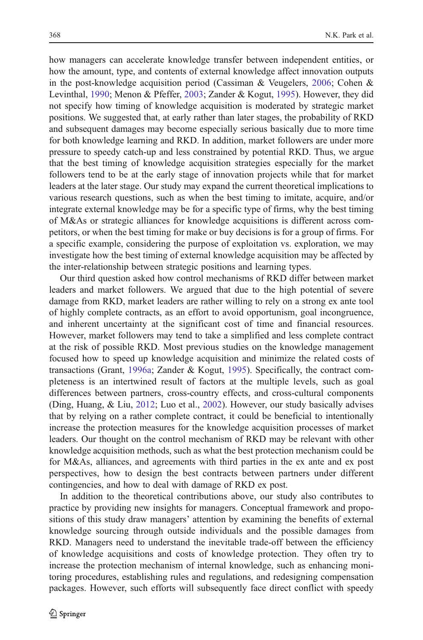how managers can accelerate knowledge transfer between independent entities, or how the amount, type, and contents of external knowledge affect innovation outputs in the post-knowledge acquisition period (Cassiman & Veugelers, [2006](#page-16-0); Cohen & Levinthal, [1990;](#page-17-0) Menon & Pfeffer, [2003](#page-18-0); Zander & Kogut, [1995\)](#page-19-0). However, they did not specify how timing of knowledge acquisition is moderated by strategic market positions. We suggested that, at early rather than later stages, the probability of RKD and subsequent damages may become especially serious basically due to more time for both knowledge learning and RKD. In addition, market followers are under more pressure to speedy catch-up and less constrained by potential RKD. Thus, we argue that the best timing of knowledge acquisition strategies especially for the market followers tend to be at the early stage of innovation projects while that for market leaders at the later stage. Our study may expand the current theoretical implications to various research questions, such as when the best timing to imitate, acquire, and/or integrate external knowledge may be for a specific type of firms, why the best timing of M&As or strategic alliances for knowledge acquisitions is different across competitors, or when the best timing for make or buy decisions is for a group of firms. For a specific example, considering the purpose of exploitation vs. exploration, we may investigate how the best timing of external knowledge acquisition may be affected by the inter-relationship between strategic positions and learning types.

Our third question asked how control mechanisms of RKD differ between market leaders and market followers. We argued that due to the high potential of severe damage from RKD, market leaders are rather willing to rely on a strong ex ante tool of highly complete contracts, as an effort to avoid opportunism, goal incongruence, and inherent uncertainty at the significant cost of time and financial resources. However, market followers may tend to take a simplified and less complete contract at the risk of possible RKD. Most previous studies on the knowledge management focused how to speed up knowledge acquisition and minimize the related costs of transactions (Grant, [1996a](#page-17-0); Zander & Kogut, [1995](#page-19-0)). Specifically, the contract completeness is an intertwined result of factors at the multiple levels, such as goal differences between partners, cross-country effects, and cross-cultural components (Ding, Huang, & Liu, [2012](#page-17-0); Luo et al., [2002\)](#page-18-0). However, our study basically advises that by relying on a rather complete contract, it could be beneficial to intentionally increase the protection measures for the knowledge acquisition processes of market leaders. Our thought on the control mechanism of RKD may be relevant with other knowledge acquisition methods, such as what the best protection mechanism could be for M&As, alliances, and agreements with third parties in the ex ante and ex post perspectives, how to design the best contracts between partners under different contingencies, and how to deal with damage of RKD ex post.

In addition to the theoretical contributions above, our study also contributes to practice by providing new insights for managers. Conceptual framework and propositions of this study draw managers' attention by examining the benefits of external knowledge sourcing through outside individuals and the possible damages from RKD. Managers need to understand the inevitable trade-off between the efficiency of knowledge acquisitions and costs of knowledge protection. They often try to increase the protection mechanism of internal knowledge, such as enhancing monitoring procedures, establishing rules and regulations, and redesigning compensation packages. However, such efforts will subsequently face direct conflict with speedy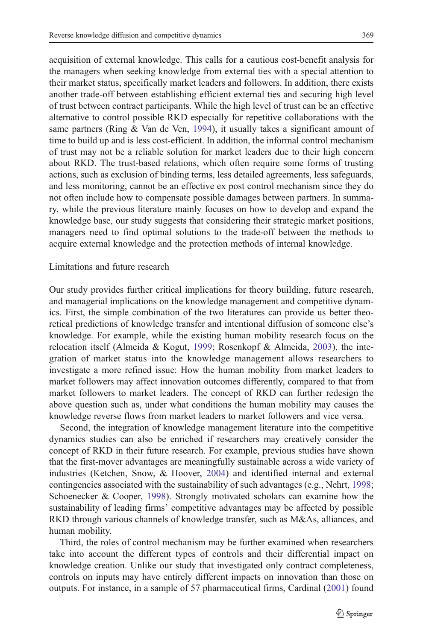acquisition of external knowledge. This calls for a cautious cost-benefit analysis for the managers when seeking knowledge from external ties with a special attention to their market status, specifically market leaders and followers. In addition, there exists another trade-off between establishing efficient external ties and securing high level of trust between contract participants. While the high level of trust can be an effective alternative to control possible RKD especially for repetitive collaborations with the same partners (Ring  $&$  Van de Ven, [1994](#page-19-0)), it usually takes a significant amount of time to build up and is less cost-efficient. In addition, the informal control mechanism of trust may not be a reliable solution for market leaders due to their high concern about RKD. The trust-based relations, which often require some forms of trusting actions, such as exclusion of binding terms, less detailed agreements, less safeguards, and less monitoring, cannot be an effective ex post control mechanism since they do not often include how to compensate possible damages between partners. In summary, while the previous literature mainly focuses on how to develop and expand the knowledge base, our study suggests that considering their strategic market positions, managers need to find optimal solutions to the trade-off between the methods to acquire external knowledge and the protection methods of internal knowledge.

# Limitations and future research

Our study provides further critical implications for theory building, future research, and managerial implications on the knowledge management and competitive dynamics. First, the simple combination of the two literatures can provide us better theoretical predictions of knowledge transfer and intentional diffusion of someone else's knowledge. For example, while the existing human mobility research focus on the relocation itself (Almeida & Kogut, [1999;](#page-16-0) Rosenkopf & Almeida, [2003](#page-19-0)), the integration of market status into the knowledge management allows researchers to investigate a more refined issue: How the human mobility from market leaders to market followers may affect innovation outcomes differently, compared to that from market followers to market leaders. The concept of RKD can further redesign the above question such as, under what conditions the human mobility may causes the knowledge reverse flows from market leaders to market followers and vice versa.

Second, the integration of knowledge management literature into the competitive dynamics studies can also be enriched if researchers may creatively consider the concept of RKD in their future research. For example, previous studies have shown that the first-mover advantages are meaningfully sustainable across a wide variety of industries (Ketchen, Snow, & Hoover, [2004\)](#page-18-0) and identified internal and external contingencies associated with the sustainability of such advantages (e.g., Nehrt, [1998;](#page-18-0) Schoenecker & Cooper, [1998\)](#page-19-0). Strongly motivated scholars can examine how the sustainability of leading firms' competitive advantages may be affected by possible RKD through various channels of knowledge transfer, such as M&As, alliances, and human mobility.

Third, the roles of control mechanism may be further examined when researchers take into account the different types of controls and their differential impact on knowledge creation. Unlike our study that investigated only contract completeness, controls on inputs may have entirely different impacts on innovation than those on outputs. For instance, in a sample of 57 pharmaceutical firms, Cardinal [\(2001](#page-16-0)) found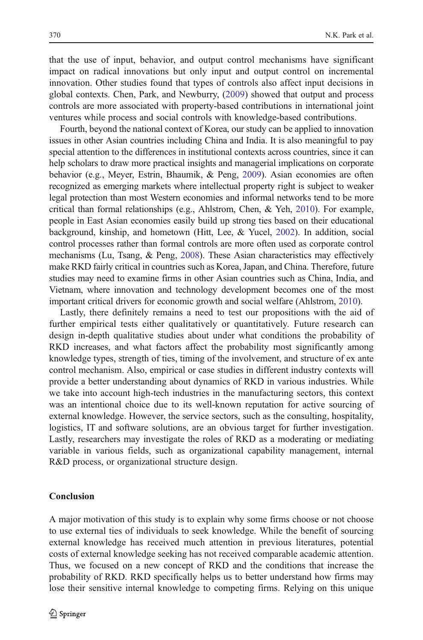that the use of input, behavior, and output control mechanisms have significant impact on radical innovations but only input and output control on incremental innovation. Other studies found that types of controls also affect input decisions in global contexts. Chen, Park, and Newburry, [\(2009](#page-16-0)) showed that output and process controls are more associated with property-based contributions in international joint ventures while process and social controls with knowledge-based contributions.

Fourth, beyond the national context of Korea, our study can be applied to innovation issues in other Asian countries including China and India. It is also meaningful to pay special attention to the differences in institutional contexts across countries, since it can help scholars to draw more practical insights and managerial implications on corporate behavior (e.g., Meyer, Estrin, Bhaumik, & Peng, [2009\)](#page-18-0). Asian economies are often recognized as emerging markets where intellectual property right is subject to weaker legal protection than most Western economies and informal networks tend to be more critical than formal relationships (e.g., Ahlstrom, Chen, & Yeh, [2010](#page-16-0)). For example, people in East Asian economies easily build up strong ties based on their educational background, kinship, and hometown (Hitt, Lee, & Yucel, [2002](#page-17-0)). In addition, social control processes rather than formal controls are more often used as corporate control mechanisms (Lu, Tsang, & Peng, [2008](#page-18-0)). These Asian characteristics may effectively make RKD fairly critical in countries such as Korea, Japan, and China. Therefore, future studies may need to examine firms in other Asian countries such as China, India, and Vietnam, where innovation and technology development becomes one of the most important critical drivers for economic growth and social welfare (Ahlstrom, [2010](#page-16-0)).

Lastly, there definitely remains a need to test our propositions with the aid of further empirical tests either qualitatively or quantitatively. Future research can design in-depth qualitative studies about under what conditions the probability of RKD increases, and what factors affect the probability most significantly among knowledge types, strength of ties, timing of the involvement, and structure of ex ante control mechanism. Also, empirical or case studies in different industry contexts will provide a better understanding about dynamics of RKD in various industries. While we take into account high-tech industries in the manufacturing sectors, this context was an intentional choice due to its well-known reputation for active sourcing of external knowledge. However, the service sectors, such as the consulting, hospitality, logistics, IT and software solutions, are an obvious target for further investigation. Lastly, researchers may investigate the roles of RKD as a moderating or mediating variable in various fields, such as organizational capability management, internal R&D process, or organizational structure design.

### Conclusion

A major motivation of this study is to explain why some firms choose or not choose to use external ties of individuals to seek knowledge. While the benefit of sourcing external knowledge has received much attention in previous literatures, potential costs of external knowledge seeking has not received comparable academic attention. Thus, we focused on a new concept of RKD and the conditions that increase the probability of RKD. RKD specifically helps us to better understand how firms may lose their sensitive internal knowledge to competing firms. Relying on this unique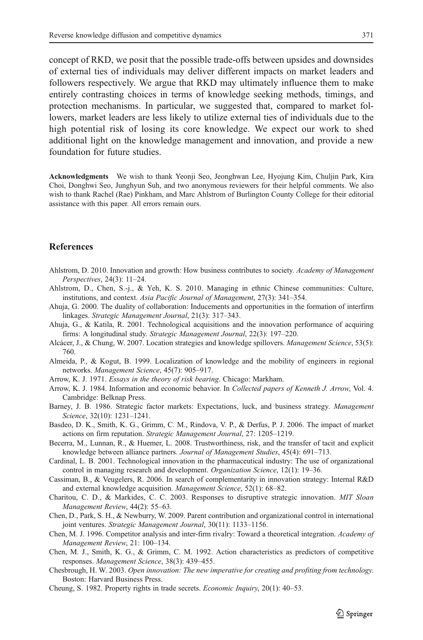<span id="page-16-0"></span>concept of RKD, we posit that the possible trade-offs between upsides and downsides of external ties of individuals may deliver different impacts on market leaders and followers respectively. We argue that RKD may ultimately influence them to make entirely contrasting choices in terms of knowledge seeking methods, timings, and protection mechanisms. In particular, we suggested that, compared to market followers, market leaders are less likely to utilize external ties of individuals due to the high potential risk of losing its core knowledge. We expect our work to shed additional light on the knowledge management and innovation, and provide a new foundation for future studies.

Acknowledgments We wish to thank Yeonji Seo, Jeonghwan Lee, Hyojung Kim, Chuljin Park, Kira Choi, Donghwi Seo, Junghyun Suh, and two anonymous reviewers for their helpful comments. We also wish to thank Rachel (Rae) Pinkham, and Marc Ahlstrom of Burlington County College for their editorial assistance with this paper. All errors remain ours.

# References

- Ahlstrom, D. 2010. Innovation and growth: How business contributes to society. Academy of Management Perspectives, 24(3): 11–24.
- Ahlstrom, D., Chen, S.-j., & Yeh, K. S. 2010. Managing in ethnic Chinese communities: Culture, institutions, and context. Asia Pacific Journal of Management, 27(3): 341–354.
- Ahuja, G. 2000. The duality of collaboration: Inducements and opportunities in the formation of interfirm linkages. Strategic Management Journal, 21(3): 317–343.
- Ahuja, G., & Katila, R. 2001. Technological acquisitions and the innovation performance of acquiring firms: A longitudinal study. Strategic Management Journal, 22(3): 197–220.
- Alcácer, J., & Chung, W. 2007. Location strategies and knowledge spillovers. Management Science, 53(5): 760.
- Almeida, P., & Kogut, B. 1999. Localization of knowledge and the mobility of engineers in regional networks. Management Science, 45(7): 905–917.
- Arrow, K. J. 1971. Essays in the theory of risk bearing. Chicago: Markham.
- Arrow, K. J. 1984. Information and economic behavior. In Collected papers of Kenneth J. Arrow, Vol. 4. Cambridge: Belknap Press.
- Barney, J. B. 1986. Strategic factor markets: Expectations, luck, and business strategy. Management Science, 32(10): 1231–1241.
- Basdeo, D. K., Smith, K. G., Grimm, C. M., Rindova, V. P., & Derfus, P. J. 2006. The impact of market actions on firm reputation. Strategic Management Journal, 27: 1205–1219.
- Becerra, M., Lunnan, R., & Huemer, L. 2008. Trustworthiness, risk, and the transfer of tacit and explicit knowledge between alliance partners. Journal of Management Studies, 45(4): 691–713.
- Cardinal, L. B. 2001. Technological innovation in the pharmaceutical industry: The use of organizational control in managing research and development. Organization Science, 12(1): 19–36.
- Cassiman, B., & Veugelers, R. 2006. In search of complementarity in innovation strategy: Internal R&D and external knowledge acquisition. Management Science, 52(1): 68–82.
- Charitou, C. D., & Markides, C. C. 2003. Responses to disruptive strategic innovation. MIT Sloan Management Review, 44(2): 55–63.
- Chen, D., Park, S. H., & Newburry, W. 2009. Parent contribution and organizational control in international joint ventures. Strategic Management Journal, 30(11): 1133–1156.
- Chen, M. J. 1996. Competitor analysis and inter-firm rivalry: Toward a theoretical integration. Academy of Management Review, 21: 100–134.
- Chen, M. J., Smith, K. G., & Grimm, C. M. 1992. Action characteristics as predictors of competitive responses. Management Science, 38(3): 439–455.
- Chesbrough, H. W. 2003. Open innovation: The new imperative for creating and profiting from technology. Boston: Harvard Business Press.
- Cheung, S. 1982. Property rights in trade secrets. Economic Inquiry, 20(1): 40–53.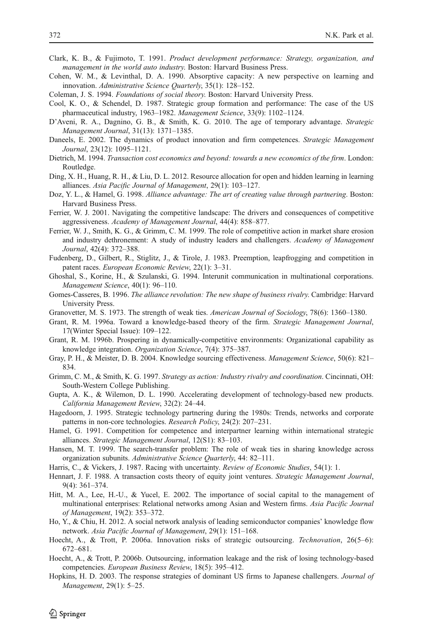- <span id="page-17-0"></span>Clark, K. B., & Fujimoto, T. 1991. Product development performance: Strategy, organization, and management in the world auto industry. Boston: Harvard Business Press.
- Cohen, W. M., & Levinthal, D. A. 1990. Absorptive capacity: A new perspective on learning and innovation. Administrative Science Quarterly, 35(1): 128–152.

Coleman, J. S. 1994. Foundations of social theory. Boston: Harvard University Press.

- Cool, K. O., & Schendel, D. 1987. Strategic group formation and performance: The case of the US pharmaceutical industry, 1963–1982. Management Science, 33(9): 1102–1124.
- D'Aveni, R. A., Dagnino, G. B., & Smith, K. G. 2010. The age of temporary advantage. Strategic Management Journal, 31(13): 1371–1385.
- Daneels, E. 2002. The dynamics of product innovation and firm competences. Strategic Management Journal, 23(12): 1095–1121.
- Dietrich, M. 1994. Transaction cost economics and beyond: towards a new economics of the firm. London: Routledge.
- Ding, X. H., Huang, R. H., & Liu, D. L. 2012. Resource allocation for open and hidden learning in learning alliances. Asia Pacific Journal of Management, 29(1): 103–127.
- Doz, Y. L., & Hamel, G. 1998. Alliance advantage: The art of creating value through partnering. Boston: Harvard Business Press.
- Ferrier, W. J. 2001. Navigating the competitive landscape: The drivers and consequences of competitive aggressiveness. Academy of Management Journal, 44(4): 858–877.
- Ferrier, W. J., Smith, K. G., & Grimm, C. M. 1999. The role of competitive action in market share erosion and industry dethronement: A study of industry leaders and challengers. Academy of Management Journal, 42(4): 372–388.
- Fudenberg, D., Gilbert, R., Stiglitz, J., & Tirole, J. 1983. Preemption, leapfrogging and competition in patent races. European Economic Review, 22(1): 3–31.
- Ghoshal, S., Korine, H., & Szulanski, G. 1994. Interunit communication in multinational corporations. Management Science, 40(1): 96–110.
- Gomes-Casseres, B. 1996. The alliance revolution: The new shape of business rivalry. Cambridge: Harvard University Press.
- Granovetter, M. S. 1973. The strength of weak ties. American Journal of Sociology, 78(6): 1360–1380.
- Grant, R. M. 1996a. Toward a knowledge-based theory of the firm. Strategic Management Journal, 17(Winter Special Issue): 109–122.
- Grant, R. M. 1996b. Prospering in dynamically-competitive environments: Organizational capability as knowledge integration. Organization Science, 7(4): 375–387.
- Gray, P. H., & Meister, D. B. 2004. Knowledge sourcing effectiveness. Management Science, 50(6): 821– 834.
- Grimm, C. M., & Smith, K. G. 1997. Strategy as action: Industry rivalry and coordination. Cincinnati, OH: South-Western College Publishing.
- Gupta, A. K., & Wilemon, D. L. 1990. Accelerating development of technology-based new products. California Management Review, 32(2): 24–44.
- Hagedoorn, J. 1995. Strategic technology partnering during the 1980s: Trends, networks and corporate patterns in non-core technologies. Research Policy, 24(2): 207–231.
- Hamel, G. 1991. Competition for competence and interpartner learning within international strategic alliances. Strategic Management Journal, 12(S1): 83–103.
- Hansen, M. T. 1999. The search-transfer problem: The role of weak ties in sharing knowledge across organization subunits. Administrative Science Quarterly, 44: 82–111.
- Harris, C., & Vickers, J. 1987. Racing with uncertainty. Review of Economic Studies, 54(1): 1.
- Hennart, J. F. 1988. A transaction costs theory of equity joint ventures. Strategic Management Journal, 9(4): 361–374.
- Hitt, M. A., Lee, H.-U., & Yucel, E. 2002. The importance of social capital to the management of multinational enterprises: Relational networks among Asian and Western firms. Asia Pacific Journal of Management, 19(2): 353–372.
- Ho, Y., & Chiu, H. 2012. A social network analysis of leading semiconductor companies' knowledge flow network. Asia Pacific Journal of Management, 29(1): 151–168.
- Hoecht, A., & Trott, P. 2006a. Innovation risks of strategic outsourcing. Technovation, 26(5-6): 672–681.
- Hoecht, A., & Trott, P. 2006b. Outsourcing, information leakage and the risk of losing technology-based competencies. European Business Review, 18(5): 395–412.
- Hopkins, H. D. 2003. The response strategies of dominant US firms to Japanese challengers. Journal of Management, 29(1): 5–25.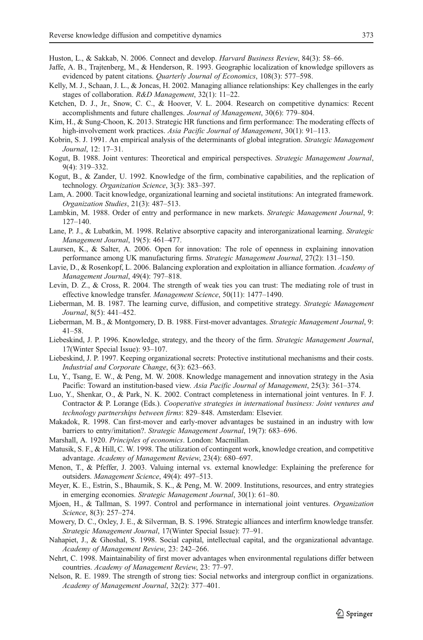<span id="page-18-0"></span>Huston, L., & Sakkab, N. 2006. Connect and develop. Harvard Business Review, 84(3): 58-66.

- Jaffe, A. B., Trajtenberg, M., & Henderson, R. 1993. Geographic localization of knowledge spillovers as evidenced by patent citations. Quarterly Journal of Economics, 108(3): 577–598.
- Kelly, M. J., Schaan, J. L., & Joncas, H. 2002. Managing alliance relationships: Key challenges in the early stages of collaboration. R&D Management, 32(1): 11–22.
- Ketchen, D. J., Jr., Snow, C. C., & Hoover, V. L. 2004. Research on competitive dynamics: Recent accomplishments and future challenges. Journal of Management, 30(6): 779–804.
- Kim, H., & Sung-Choon, K. 2013. Strategic HR functions and firm performance: The moderating effects of high-involvement work practices. Asia Pacific Journal of Management, 30(1): 91-113.
- Kobrin, S. J. 1991. An empirical analysis of the determinants of global integration. Strategic Management Journal, 12: 17–31.
- Kogut, B. 1988. Joint ventures: Theoretical and empirical perspectives. Strategic Management Journal, 9(4): 319–332.
- Kogut, B., & Zander, U. 1992. Knowledge of the firm, combinative capabilities, and the replication of technology. Organization Science, 3(3): 383–397.
- Lam, A. 2000. Tacit knowledge, organizational learning and societal institutions: An integrated framework. Organization Studies, 21(3): 487–513.
- Lambkin, M. 1988. Order of entry and performance in new markets. Strategic Management Journal, 9: 127–140.
- Lane, P. J., & Lubatkin, M. 1998. Relative absorptive capacity and interorganizational learning. Strategic Management Journal, 19(5): 461–477.
- Laursen, K., & Salter, A. 2006. Open for innovation: The role of openness in explaining innovation performance among UK manufacturing firms. Strategic Management Journal, 27(2): 131–150.
- Lavie, D., & Rosenkopf, L. 2006. Balancing exploration and exploitation in alliance formation. Academy of Management Journal, 49(4): 797–818.
- Levin, D. Z., & Cross, R. 2004. The strength of weak ties you can trust: The mediating role of trust in effective knowledge transfer. Management Science, 50(11): 1477–1490.
- Lieberman, M. B. 1987. The learning curve, diffusion, and competitive strategy. Strategic Management Journal, 8(5): 441–452.
- Lieberman, M. B., & Montgomery, D. B. 1988. First-mover advantages. Strategic Management Journal, 9: 41–58.
- Liebeskind, J. P. 1996. Knowledge, strategy, and the theory of the firm. Strategic Management Journal, 17(Winter Special Issue): 93–107.
- Liebeskind, J. P. 1997. Keeping organizational secrets: Protective institutional mechanisms and their costs. Industrial and Corporate Change, 6(3): 623–663.
- Lu, Y., Tsang, E. W., & Peng, M. W. 2008. Knowledge management and innovation strategy in the Asia Pacific: Toward an institution-based view. Asia Pacific Journal of Management, 25(3): 361–374.
- Luo, Y., Shenkar, O., & Park, N. K. 2002. Contract completeness in international joint ventures. In F. J. Contractor & P. Lorange (Eds.). Cooperative strategies in international business: Joint ventures and technology partnerships between firms: 829–848. Amsterdam: Elsevier.
- Makadok, R. 1998. Can first-mover and early-mover advantages be sustained in an industry with low barriers to entry/imitation?. Strategic Management Journal, 19(7): 683–696.
- Marshall, A. 1920. Principles of economics. London: Macmillan.
- Matusik, S. F., & Hill, C. W. 1998. The utilization of contingent work, knowledge creation, and competitive advantage. Academy of Management Review, 23(4): 680–697.
- Menon, T., & Pfeffer, J. 2003. Valuing internal vs. external knowledge: Explaining the preference for outsiders. Management Science, 49(4): 497–513.
- Meyer, K. E., Estrin, S., Bhaumik, S. K., & Peng, M. W. 2009. Institutions, resources, and entry strategies in emerging economies. Strategic Management Journal, 30(1): 61–80.
- Mjoen, H., & Tallman, S. 1997. Control and performance in international joint ventures. Organization Science, 8(3): 257–274.
- Mowery, D. C., Oxley, J. E., & Silverman, B. S. 1996. Strategic alliances and interfirm knowledge transfer. Strategic Management Journal, 17(Winter Special Issue): 77–91.
- Nahapiet, J., & Ghoshal, S. 1998. Social capital, intellectual capital, and the organizational advantage. Academy of Management Review, 23: 242–266.
- Nehrt, C. 1998. Maintainability of first mover advantages when environmental regulations differ between countries. Academy of Management Review, 23: 77–97.
- Nelson, R. E. 1989. The strength of strong ties: Social networks and intergroup conflict in organizations. Academy of Management Journal, 32(2): 377–401.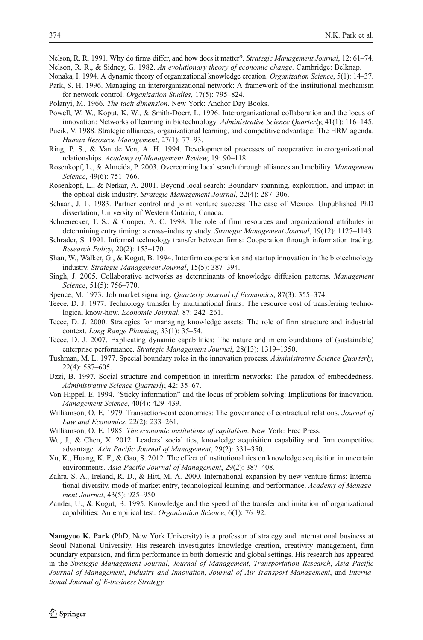<span id="page-19-0"></span>Nelson, R. R. 1991. Why do firms differ, and how does it matter?. Strategic Management Journal, 12: 61-74. Nelson, R. R., & Sidney, G. 1982. An evolutionary theory of economic change. Cambridge: Belknap.

- Nonaka, I. 1994. A dynamic theory of organizational knowledge creation. Organization Science, 5(1): 14–37.
- Park, S. H. 1996. Managing an interorganizational network: A framework of the institutional mechanism for network control. Organization Studies, 17(5): 795–824.
- Polanyi, M. 1966. The tacit dimension. New York: Anchor Day Books.
- Powell, W. W., Koput, K. W., & Smith-Doerr, L. 1996. Interorganizational collaboration and the locus of innovation: Networks of learning in biotechnology. Administrative Science Quarterly, 41(1): 116–145.
- Pucik, V. 1988. Strategic alliances, organizational learning, and competitive advantage: The HRM agenda. Human Resource Management, 27(1): 77–93.
- Ring, P. S., & Van de Ven, A. H. 1994. Developmental processes of cooperative interorganizational relationships. Academy of Management Review, 19: 90–118.
- Rosenkopf, L., & Almeida, P. 2003. Overcoming local search through alliances and mobility. Management Science, 49(6): 751–766.
- Rosenkopf, L., & Nerkar, A. 2001. Beyond local search: Boundary-spanning, exploration, and impact in the optical disk industry. Strategic Management Journal, 22(4): 287–306.
- Schaan, J. L. 1983. Partner control and joint venture success: The case of Mexico. Unpublished PhD dissertation, University of Western Ontario, Canada.
- Schoenecker, T. S., & Cooper, A. C. 1998. The role of firm resources and organizational attributes in determining entry timing: a cross–industry study. Strategic Management Journal, 19(12): 1127–1143.
- Schrader, S. 1991. Informal technology transfer between firms: Cooperation through information trading. Research Policy, 20(2): 153–170.
- Shan, W., Walker, G., & Kogut, B. 1994. Interfirm cooperation and startup innovation in the biotechnology industry. Strategic Management Journal, 15(5): 387–394.
- Singh, J. 2005. Collaborative networks as determinants of knowledge diffusion patterns. Management Science, 51(5): 756–770.
- Spence, M. 1973. Job market signaling. Quarterly Journal of Economics, 87(3): 355–374.
- Teece, D. J. 1977. Technology transfer by multinational firms: The resource cost of transferring technological know-how. Economic Journal, 87: 242–261.
- Teece, D. J. 2000. Strategies for managing knowledge assets: The role of firm structure and industrial context. Long Range Planning, 33(1): 35–54.
- Teece, D. J. 2007. Explicating dynamic capabilities: The nature and microfoundations of (sustainable) enterprise performance. Strategic Management Journal, 28(13): 1319–1350.
- Tushman, M. L. 1977. Special boundary roles in the innovation process. Administrative Science Quarterly, 22(4): 587–605.
- Uzzi, B. 1997. Social structure and competition in interfirm networks: The paradox of embeddedness. Administrative Science Quarterly, 42: 35–67.
- Von Hippel, E. 1994. "Sticky information" and the locus of problem solving: Implications for innovation. Management Science, 40(4): 429–439.
- Williamson, O. E. 1979. Transaction-cost economics: The governance of contractual relations. Journal of Law and Economics, 22(2): 233–261.
- Williamson, O. E. 1985. The economic institutions of capitalism. New York: Free Press.
- Wu, J., & Chen, X. 2012. Leaders' social ties, knowledge acquisition capability and firm competitive advantage. Asia Pacific Journal of Management, 29(2): 331–350.
- Xu, K., Huang, K. F., & Gao, S. 2012. The effect of institutional ties on knowledge acquisition in uncertain environments. Asia Pacific Journal of Management, 29(2): 387–408.
- Zahra, S. A., Ireland, R. D., & Hitt, M. A. 2000. International expansion by new venture firms: International diversity, mode of market entry, technological learning, and performance. Academy of Management Journal, 43(5): 925–950.
- Zander, U., & Kogut, B. 1995. Knowledge and the speed of the transfer and imitation of organizational capabilities: An empirical test. Organization Science, 6(1): 76–92.

Namgyoo K. Park (PhD, New York University) is a professor of strategy and international business at Seoul National University. His research investigates knowledge creation, creativity management, firm boundary expansion, and firm performance in both domestic and global settings. His research has appeared in the Strategic Management Journal, Journal of Management, Transportation Research, Asia Pacific Journal of Management, Industry and Innovation, Journal of Air Transport Management, and International Journal of E-business Strategy.